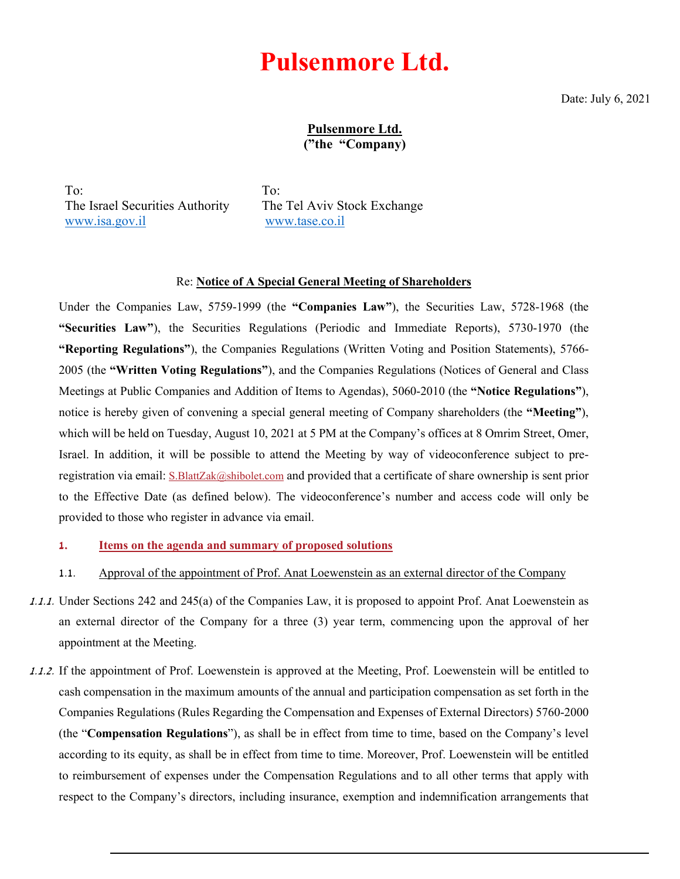# **Pulsenmore Ltd.**

Date: July 6, 2021

Pulsenmore Ltd. ("the "Company)

To: The Israel Securities Authority [www.isa.gov.il](http://www.isa.gov.il/)

To: The Tel Aviv Stock Exchange [www.tase.co.il](http://www.tase.co.il/)

#### Re: **Notice of A Special General Meeting of Shareholders**

Under the Companies Law, 5759-1999 (the **"Companies Law"**), the Securities Law, 5728-1968 (the **"Securities Law"**), the Securities Regulations (Periodic and Immediate Reports), 5730-1970 (the **"Reporting Regulations"**), the Companies Regulations (Written Voting and Position Statements), 5766- 2005 (the **"Written Voting Regulations"**), and the Companies Regulations (Notices of General and Class Meetings at Public Companies and Addition of Items to Agendas), 5060-2010 (the **"Notice Regulations"**), notice is hereby given of convening a special general meeting of Company shareholders (the **"Meeting"**), which will be held on Tuesday, August 10, 2021 at 5 PM at the Company's offices at 8 Omrim Street, Omer, Israel. In addition, it will be possible to attend the Meeting by way of videoconference subject to pre-registration via email: [S.BlattZak@shibolet.com](mailto:S.BlattZak@shibolet.com) and provided that a certificate of share ownership is sent prior to the Effective Date (as defined below). The videoconference's number and access code will only be provided to those who register in advance via email.

- **1. Items on the agenda and summary of proposed solutions**
- 1.1. Approval of the appointment of Prof. Anat Loewenstein as an external director of the Company
- 1.1.1. Under Sections 242 and 245(a) of the Companies Law, it is proposed to appoint Prof. Anat Loewenstein as an external director of the Company for a three (3) year term, commencing upon the approval of her appointment at the Meeting.
- 1.1.2. If the appointment of Prof. Loewenstein is approved at the Meeting, Prof. Loewenstein will be entitled to cash compensation in the maximum amounts of the annual and participation compensation as set forth in the Companies Regulations (Rules Regarding the Compensation and Expenses of External Directors) 5760-2000 (the "**Compensation Regulations**"), as shall be in effect from time to time, based on the Company's level according to its equity, as shall be in effect from time to time. Moreover, Prof. Loewenstein will be entitled to reimbursement of expenses under the Compensation Regulations and to all other terms that apply with respect to the Company's directors, including insurance, exemption and indemnification arrangements that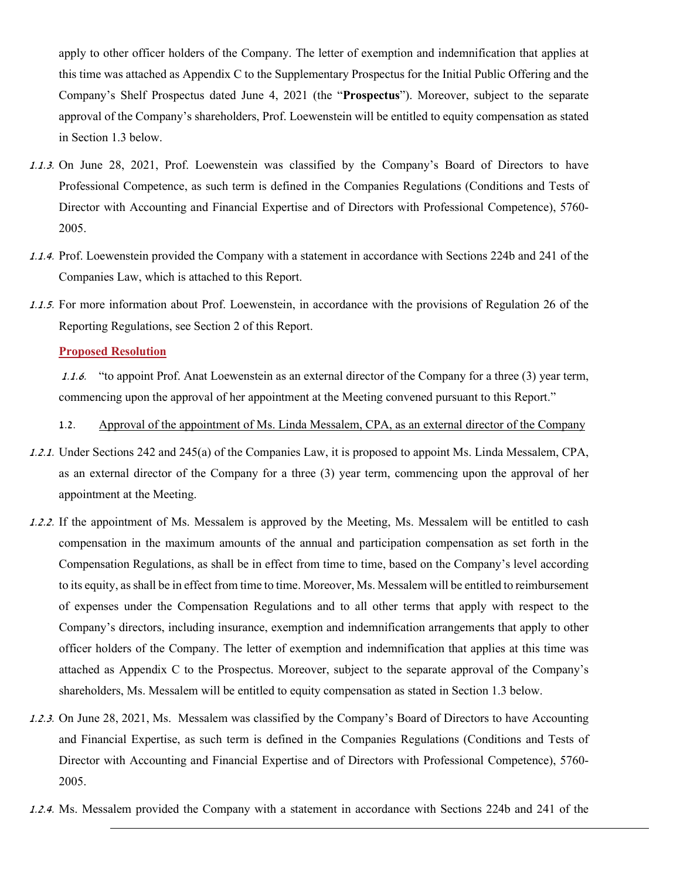apply to other officer holders of the Company. The letter of exemption and indemnification that applies at this time was attached as Appendix C to the Supplementary Prospectus for the Initial Public Offering and the Company's Shelf Prospectus dated June 4, 2021 (the "**Prospectus**"). Moreover, subject to the separate approval of the Company's shareholders, Prof. Loewenstein will be entitled to equity compensation as stated in Section 1.3 below.

- 1.1.3. On June 28, 2021, Prof. Loewenstein was classified by the Company's Board of Directors to have Professional Competence, as such term is defined in the Companies Regulations (Conditions and Tests of Director with Accounting and Financial Expertise and of Directors with Professional Competence), 5760- 2005.
- 1.1.4. Prof. Loewenstein provided the Company with a statement in accordance with Sections 224b and 241 of the Companies Law, which is attached to this Report.
- 1.1.5. For more information about Prof. Loewenstein, in accordance with the provisions of Regulation 26 of the Reporting Regulations, see Section 2 of this Report.

#### **Proposed Resolution**

1.1.6. "to appoint Prof. Anat Loewenstein as an external director of the Company for a three (3) year term, commencing upon the approval of her appointment at the Meeting convened pursuant to this Report."

- 1.2. Approval of the appointment of Ms. Linda Messalem, CPA, as an external director of the Company
- 1.2.1. Under Sections 242 and 245(a) of the Companies Law, it is proposed to appoint Ms. Linda Messalem, CPA, as an external director of the Company for a three (3) year term, commencing upon the approval of her appointment at the Meeting.
- 1.2.2. If the appointment of Ms. Messalem is approved by the Meeting, Ms. Messalem will be entitled to cash compensation in the maximum amounts of the annual and participation compensation as set forth in the Compensation Regulations, as shall be in effect from time to time, based on the Company's level according to its equity, as shall be in effect from time to time. Moreover, Ms. Messalem will be entitled to reimbursement of expenses under the Compensation Regulations and to all other terms that apply with respect to the Company's directors, including insurance, exemption and indemnification arrangements that apply to other officer holders of the Company. The letter of exemption and indemnification that applies at this time was attached as Appendix C to the Prospectus. Moreover, subject to the separate approval of the Company's shareholders, Ms. Messalem will be entitled to equity compensation as stated in Section 1.3 below.
- 1.2.3. On June 28, 2021, Ms. Messalem was classified by the Company's Board of Directors to have Accounting and Financial Expertise, as such term is defined in the Companies Regulations (Conditions and Tests of Director with Accounting and Financial Expertise and of Directors with Professional Competence), 5760- 2005.
- 1.2.4. Ms. Messalem provided the Company with a statement in accordance with Sections 224b and 241 of the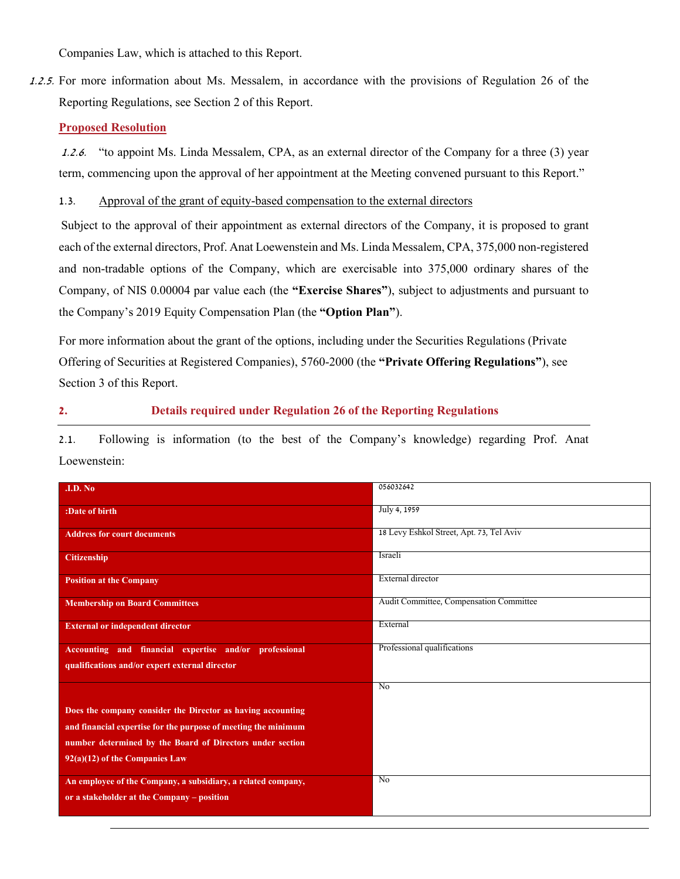Companies Law, which is attached to this Report.

1.2.5. For more information about Ms. Messalem, in accordance with the provisions of Regulation 26 of the Reporting Regulations, see Section 2 of this Report.

#### **Proposed Resolution**

1.2.6. "to appoint Ms. Linda Messalem, CPA, as an external director of the Company for a three (3) year term, commencing upon the approval of her appointment at the Meeting convened pursuant to this Report."

1.3. Approval of the grant of equity-based compensation to the external directors

Subject to the approval of their appointment as external directors of the Company, it is proposed to grant each of the external directors, Prof. Anat Loewenstein and Ms. Linda Messalem, CPA, 375,000 non-registered and non-tradable options of the Company, which are exercisable into 375,000 ordinary shares of the Company, of NIS 0.00004 par value each (the **"Exercise Shares"**), subject to adjustments and pursuant to the Company's 2019 Equity Compensation Plan (the **"Option Plan"**).

For more information about the grant of the options, including under the Securities Regulations (Private Offering of Securities at Registered Companies), 5760-2000 (the **"Private Offering Regulations"**), see Section 3 of this Report.

#### **2. Details required under Regulation 26 of the Reporting Regulations**

2.1. Following is information (to the best of the Company's knowledge) regarding Prof. Anat Loewenstein:

| I.D. No                                                        | 056032642                                |
|----------------------------------------------------------------|------------------------------------------|
|                                                                |                                          |
| :Date of birth                                                 | July 4, 1959                             |
| <b>Address for court documents</b>                             | 18 Levy Eshkol Street, Apt. 73, Tel Aviv |
|                                                                |                                          |
| <b>Citizenship</b>                                             | Israeli                                  |
|                                                                |                                          |
| <b>Position at the Company</b>                                 | External director                        |
|                                                                |                                          |
| <b>Membership on Board Committees</b>                          | Audit Committee, Compensation Committee  |
|                                                                | External                                 |
| <b>External or independent director</b>                        |                                          |
| Accounting and financial expertise and/or professional         | Professional qualifications              |
|                                                                |                                          |
| qualifications and/or expert external director                 |                                          |
|                                                                | N <sub>0</sub>                           |
|                                                                |                                          |
| Does the company consider the Director as having accounting    |                                          |
| and financial expertise for the purpose of meeting the minimum |                                          |
| number determined by the Board of Directors under section      |                                          |
|                                                                |                                          |
| $92(a)(12)$ of the Companies Law                               |                                          |
| An employee of the Company, a subsidiary, a related company,   | $\overline{N_0}$                         |
|                                                                |                                          |
| or a stakeholder at the Company – position                     |                                          |
|                                                                |                                          |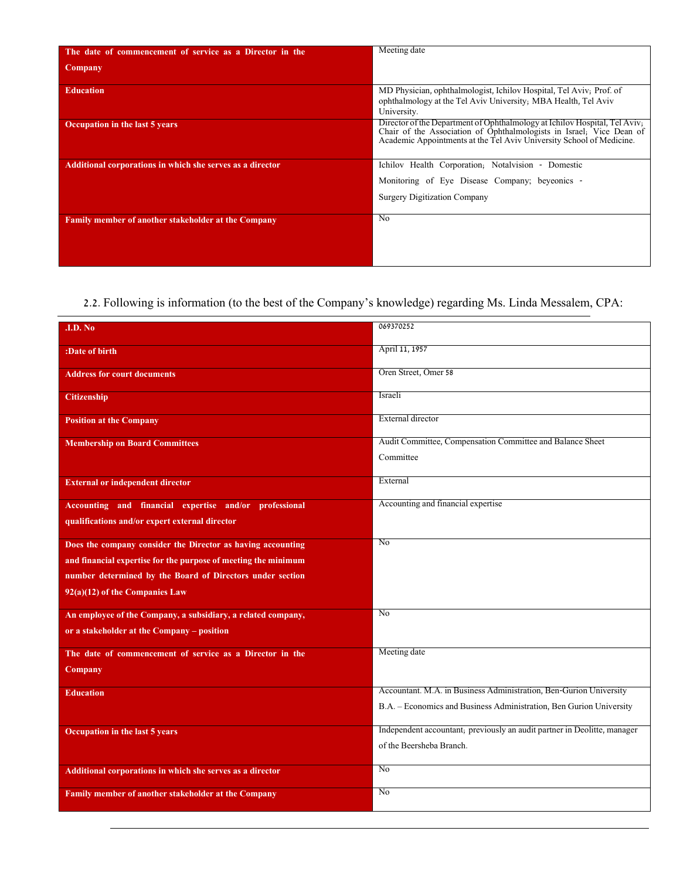| The date of commencement of service as a Director in the   | Meeting date                                                                                                                                                                                                               |
|------------------------------------------------------------|----------------------------------------------------------------------------------------------------------------------------------------------------------------------------------------------------------------------------|
| Company                                                    |                                                                                                                                                                                                                            |
| <b>Education</b>                                           | MD Physician, ophthalmologist, Ichilov Hospital, Tel Aviv; Prof. of<br>ophthalmology at the Tel Aviv University; MBA Health, Tel Aviv<br>University.                                                                       |
| Occupation in the last 5 years                             | Director of the Department of Ophthalmology at Ichilov Hospital, Tel Aviv,<br>Chair of the Association of Ophthalmologists in Israel, Vice Dean of<br>Academic Appointments at the Tel Aviv University School of Medicine. |
| Additional corporations in which she serves as a director  | Ichilov Health Corporation; Notalvision - Domestic                                                                                                                                                                         |
|                                                            | Monitoring of Eye Disease Company; beyeonics -                                                                                                                                                                             |
|                                                            | <b>Surgery Digitization Company</b>                                                                                                                                                                                        |
| <b>Family member of another stakeholder at the Company</b> | N <sub>0</sub>                                                                                                                                                                                                             |
|                                                            |                                                                                                                                                                                                                            |
|                                                            |                                                                                                                                                                                                                            |

# 2.2. Following is information (to the best of the Company's knowledge) regarding Ms. Linda Messalem, CPA:

| <b>.I.D. No</b>                                                | 069370252                                                                |
|----------------------------------------------------------------|--------------------------------------------------------------------------|
| :Date of birth                                                 | April 11, 1957                                                           |
| <b>Address for court documents</b>                             | Oren Street, Omer 58                                                     |
| <b>Citizenship</b>                                             | Israeli                                                                  |
| <b>Position at the Company</b>                                 | <b>External director</b>                                                 |
| <b>Membership on Board Committees</b>                          | Audit Committee, Compensation Committee and Balance Sheet                |
|                                                                | Committee                                                                |
| <b>External or independent director</b>                        | External                                                                 |
| Accounting and financial expertise and/or professional         | Accounting and financial expertise                                       |
| qualifications and/or expert external director                 |                                                                          |
| Does the company consider the Director as having accounting    | No                                                                       |
| and financial expertise for the purpose of meeting the minimum |                                                                          |
| number determined by the Board of Directors under section      |                                                                          |
| 92(a)(12) of the Companies Law                                 |                                                                          |
|                                                                |                                                                          |
| An employee of the Company, a subsidiary, a related company,   | $\overline{N_0}$                                                         |
| or a stakeholder at the Company - position                     |                                                                          |
|                                                                |                                                                          |
| The date of commencement of service as a Director in the       | Meeting date                                                             |
| Company                                                        |                                                                          |
| <b>Education</b>                                               | Accountant. M.A. in Business Administration, Ben-Gurion University       |
|                                                                | B.A. – Economics and Business Administration, Ben Gurion University      |
| Occupation in the last 5 years                                 | Independent accountant; previously an audit partner in Deolitte, manager |
|                                                                | of the Beersheba Branch.                                                 |
| Additional corporations in which she serves as a director      | No                                                                       |
| Family member of another stakeholder at the Company            | No                                                                       |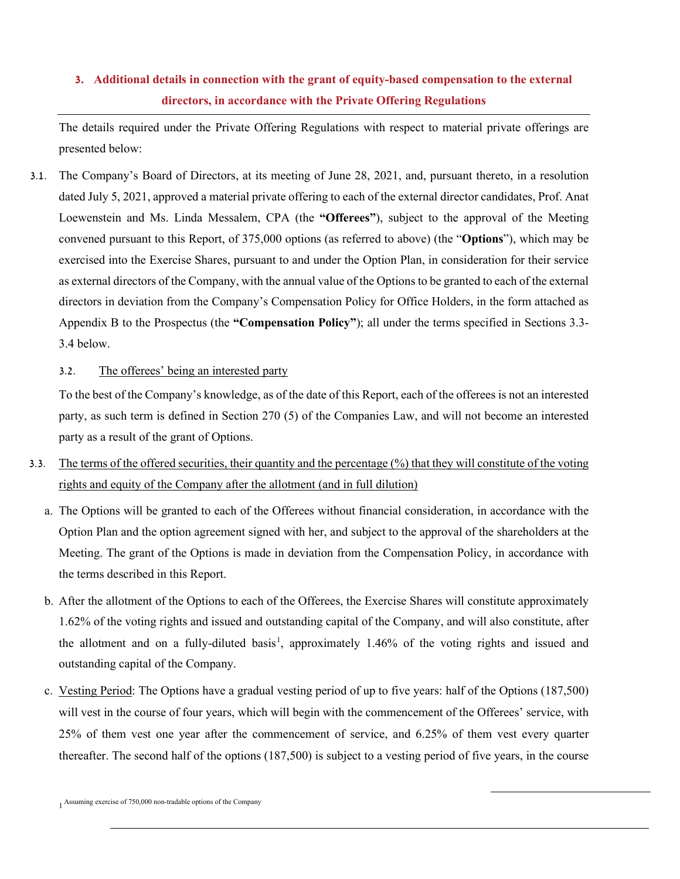## **3. Additional details in connection with the grant of equity-based compensation to the external directors, in accordance with the Private Offering Regulations**

The details required under the Private Offering Regulations with respect to material private offerings are presented below:

3.1. The Company's Board of Directors, at its meeting of June 28, 2021, and, pursuant thereto, in a resolution dated July 5, 2021, approved a material private offering to each of the external director candidates, Prof. Anat Loewenstein and Ms. Linda Messalem, CPA (the **"Offerees"**), subject to the approval of the Meeting convened pursuant to this Report, of 375,000 options (as referred to above) (the "**Options**"), which may be exercised into the Exercise Shares, pursuant to and under the Option Plan, in consideration for their service as external directors of the Company, with the annual value of the Options to be granted to each of the external directors in deviation from the Company's Compensation Policy for Office Holders, in the form attached as Appendix B to the Prospectus (the **"Compensation Policy"**); all under the terms specified in Sections 3.3- 3.4 below.

#### 3.2. The offerees' being an interested party

To the best of the Company's knowledge, as of the date of this Report, each of the offerees is not an interested party, as such term is defined in Section 270 (5) of the Companies Law, and will not become an interested party as a result of the grant of Options.

- <span id="page-4-0"></span>3.3. The terms of the offered securities, their quantity and the percentage (%) that they will constitute of the voting rights and equity of the Company after the allotment (and in full dilution)
	- a. The Options will be granted to each of the Offerees without financial consideration, in accordance with the Option Plan and the option agreement signed with her, and subject to the approval of the shareholders at the Meeting. The grant of the Options is made in deviation from the Compensation Policy, in accordance with the terms described in this Report.
	- b. After the allotment of the Options to each of the Offerees, the Exercise Shares will constitute approximately 1.62% of the voting rights and issued and outstanding capital of the Company, and will also constitute, after the allotment and on a fully-diluted basis<sup>[1](#page-4-0)</sup>, approximately 1.46% of the voting rights and issued and outstanding capital of the Company.
	- c. Vesting Period: The Options have a gradual vesting period of up to five years: half of the Options (187,500) will vest in the course of four years, which will begin with the commencement of the Offerees' service, with 25% of them vest one year after the commencement of service, and 6.25% of them vest every quarter thereafter. The second half of the options (187,500) is subject to a vesting period of five years, in the course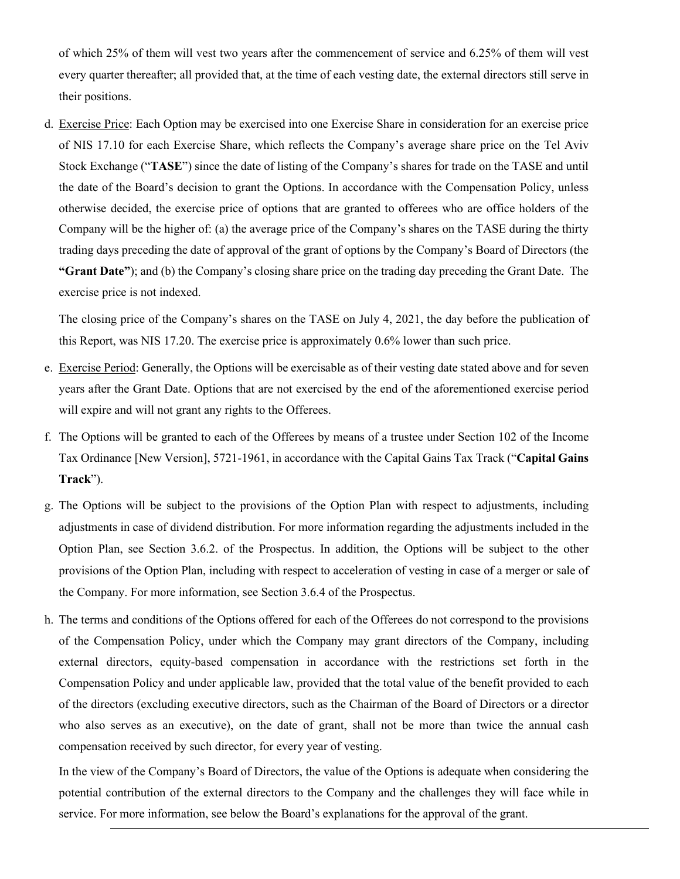of which 25% of them will vest two years after the commencement of service and 6.25% of them will vest every quarter thereafter; all provided that, at the time of each vesting date, the external directors still serve in their positions.

d. Exercise Price: Each Option may be exercised into one Exercise Share in consideration for an exercise price of NIS 17.10 for each Exercise Share, which reflects the Company's average share price on the Tel Aviv Stock Exchange ("**TASE**") since the date of listing of the Company's shares for trade on the TASE and until the date of the Board's decision to grant the Options. In accordance with the Compensation Policy, unless otherwise decided, the exercise price of options that are granted to offerees who are office holders of the Company will be the higher of: (a) the average price of the Company's shares on the TASE during the thirty trading days preceding the date of approval of the grant of options by the Company's Board of Directors (the **"Grant Date"**); and (b) the Company's closing share price on the trading day preceding the Grant Date. The exercise price is not indexed.

The closing price of the Company's shares on the TASE on July 4, 2021, the day before the publication of this Report, was NIS 17.20. The exercise price is approximately 0.6% lower than such price.

- e. Exercise Period: Generally, the Options will be exercisable as of their vesting date stated above and for seven years after the Grant Date. Options that are not exercised by the end of the aforementioned exercise period will expire and will not grant any rights to the Offerees.
- f. The Options will be granted to each of the Offerees by means of a trustee under Section 102 of the Income Tax Ordinance [New Version], 5721-1961, in accordance with the Capital Gains Tax Track ("**Capital Gains Track**").
- g. The Options will be subject to the provisions of the Option Plan with respect to adjustments, including adjustments in case of dividend distribution. For more information regarding the adjustments included in the Option Plan, see Section 3.6.2. of the Prospectus. In addition, the Options will be subject to the other provisions of the Option Plan, including with respect to acceleration of vesting in case of a merger or sale of the Company. For more information, see Section 3.6.4 of the Prospectus.
- h. The terms and conditions of the Options offered for each of the Offerees do not correspond to the provisions of the Compensation Policy, under which the Company may grant directors of the Company, including external directors, equity-based compensation in accordance with the restrictions set forth in the Compensation Policy and under applicable law, provided that the total value of the benefit provided to each of the directors (excluding executive directors, such as the Chairman of the Board of Directors or a director who also serves as an executive), on the date of grant, shall not be more than twice the annual cash compensation received by such director, for every year of vesting.

In the view of the Company's Board of Directors, the value of the Options is adequate when considering the potential contribution of the external directors to the Company and the challenges they will face while in service. For more information, see below the Board's explanations for the approval of the grant.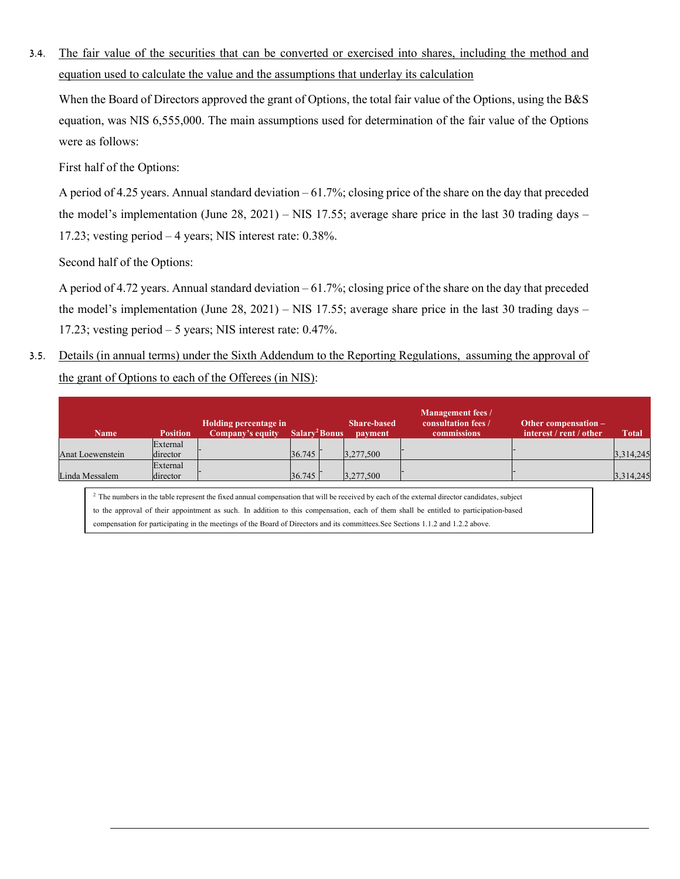3.4. The fair value of the securities that can be converted or exercised into shares, including the method and equation used to calculate the value and the assumptions that underlay its calculation

When the Board of Directors approved the grant of Options, the total fair value of the Options, using the B&S equation, was NIS 6,555,000. The main assumptions used for determination of the fair value of the Options were as follows:

First half of the Options:

A period of 4.25 years. Annual standard deviation – 61.7%; closing price of the share on the day that preceded the model's implementation (June 28, 2021) – NIS 17.55; average share price in the last 30 trading days – 17.23; vesting period – 4 years; NIS interest rate: 0.38%.

Second half of the Options:

A period of 4.72 years. Annual standard deviation  $-61.7\%$ ; closing price of the share on the day that preceded the model's implementation (June 28, 2021) – NIS 17.55; average share price in the last 30 trading days – 17.23; vesting period – 5 years; NIS interest rate: 0.47%.

3.5. Details (in annual terms) under the Sixth Addendum to the Reporting Regulations, assuming the approval of the grant of Options to each of the Offerees (in NIS):

| <b>Name</b>      | <b>Position</b> | Holding percentage in<br>Company's equity | Salary <sup>2</sup> Bonus | <b>Share-based</b><br><b>payment</b> | <b>Management fees /</b><br>consultation fees /<br><b>commissions</b> | Other compensation -<br>interest / rent / other | <b>Total</b> |
|------------------|-----------------|-------------------------------------------|---------------------------|--------------------------------------|-----------------------------------------------------------------------|-------------------------------------------------|--------------|
|                  | External        |                                           |                           |                                      |                                                                       |                                                 |              |
| Anat Loewenstein | director        |                                           | 36.745                    | 3,277,500                            |                                                                       |                                                 | 3,314,245    |
|                  | External        |                                           |                           |                                      |                                                                       |                                                 |              |
| Linda Messalem   | director        |                                           | 36.745                    | 3,277,500                            |                                                                       |                                                 | 3,314,245    |

<sup>2</sup> The numbers in the table represent the fixed annual compensation that will be received by each of the external director candidates, subject to the approval of their appointment as such. In addition to this compensation, each of them shall be entitled to participation-based compensation for participating in the meetings of the Board of Directors and its committees.See Sections 1.1.2 and 1.2.2 above.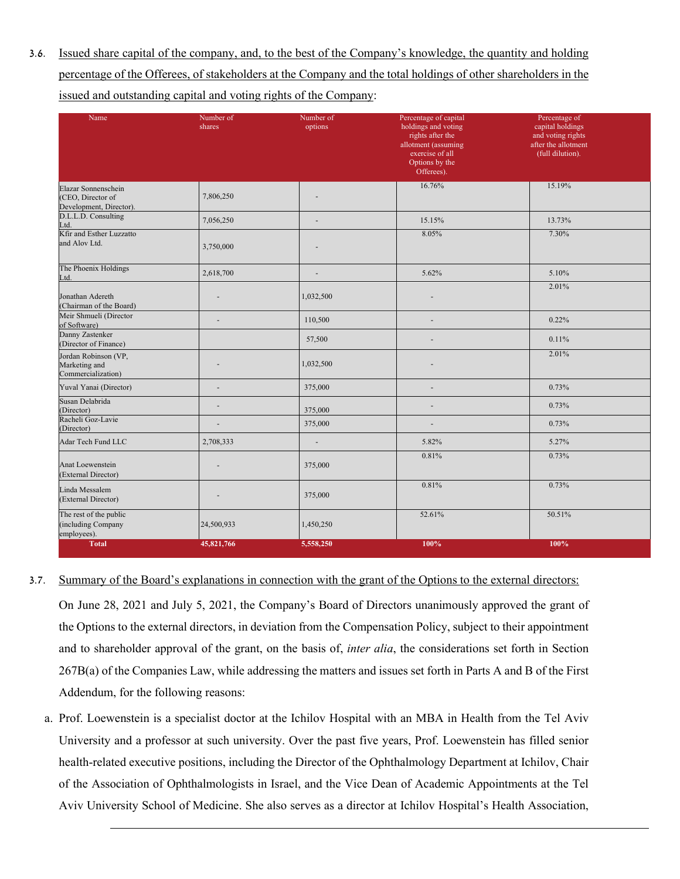3.6. Issued share capital of the company, and, to the best of the Company's knowledge, the quantity and holding percentage of the Offerees, of stakeholders at the Company and the total holdings of other shareholders in the issued and outstanding capital and voting rights of the Company:

| Name                                                                | Number of<br>shares | Number of<br>options         | Percentage of capital<br>holdings and voting<br>rights after the<br>allotment (assuming<br>exercise of all<br>Options by the<br>Offerees). | Percentage of<br>capital holdings<br>and voting rights<br>after the allotment<br>(full dilution). |
|---------------------------------------------------------------------|---------------------|------------------------------|--------------------------------------------------------------------------------------------------------------------------------------------|---------------------------------------------------------------------------------------------------|
| Elazar Sonnenschein<br>(CEO, Director of<br>Development, Director). | 7,806,250           |                              | 16.76%                                                                                                                                     | 15.19%                                                                                            |
| D.L.L.D. Consulting<br>Ltd.                                         | 7,056,250           | $\blacksquare$               | 15.15%                                                                                                                                     | 13.73%                                                                                            |
| Kfir and Esther Luzzatto<br>and Alov Ltd.                           | 3,750,000           |                              | 8.05%                                                                                                                                      | 7.30%                                                                                             |
| The Phoenix Holdings<br>Ltd.                                        | 2,618,700           | $\qquad \qquad \blacksquare$ | 5.62%                                                                                                                                      | 5.10%                                                                                             |
| Jonathan Adereth<br>(Chairman of the Board)                         |                     | 1,032,500                    |                                                                                                                                            | 2.01%                                                                                             |
| Meir Shmueli (Director<br>of Software)                              | ÷,                  | 110,500                      |                                                                                                                                            | 0.22%                                                                                             |
| Danny Zastenker<br>(Director of Finance)                            |                     | 57,500                       |                                                                                                                                            | 0.11%                                                                                             |
| Jordan Robinson (VP,<br>Marketing and<br>Commercialization)         |                     | 1,032,500                    |                                                                                                                                            | 2.01%                                                                                             |
| Yuval Yanai (Director)                                              | ٠                   | 375,000                      | ۰                                                                                                                                          | 0.73%                                                                                             |
| Susan Delabrida<br>(Director)                                       | ÷,                  | 375,000                      | ۰                                                                                                                                          | 0.73%                                                                                             |
| Racheli Goz-Lavie<br>(Director)                                     | Ē,                  | 375,000                      |                                                                                                                                            | 0.73%                                                                                             |
| Adar Tech Fund LLC                                                  | 2,708,333           | $\overline{\phantom{a}}$     | 5.82%                                                                                                                                      | 5.27%                                                                                             |
| Anat Loewenstein<br>(External Director)                             |                     | 375,000                      | 0.81%                                                                                                                                      | 0.73%                                                                                             |
| Linda Messalem<br>(External Director)                               |                     | 375,000                      | 0.81%                                                                                                                                      | 0.73%                                                                                             |
| The rest of the public<br>(including Company<br>employees).         | 24,500,933          | 1,450,250                    | 52.61%                                                                                                                                     | 50.51%                                                                                            |
| <b>Total</b>                                                        | 45,821,766          | 5,558,250                    | 100%                                                                                                                                       | 100%                                                                                              |

3.7. Summary of the Board's explanations in connection with the grant of the Options to the external directors:

On June 28, 2021 and July 5, 2021, the Company's Board of Directors unanimously approved the grant of the Options to the external directors, in deviation from the Compensation Policy, subject to their appointment and to shareholder approval of the grant, on the basis of, *inter alia*, the considerations set forth in Section 267B(a) of the Companies Law, while addressing the matters and issues set forth in Parts A and B of the First Addendum, for the following reasons:

a. Prof. Loewenstein is a specialist doctor at the Ichilov Hospital with an MBA in Health from the Tel Aviv University and a professor at such university. Over the past five years, Prof. Loewenstein has filled senior health-related executive positions, including the Director of the Ophthalmology Department at Ichilov, Chair of the Association of Ophthalmologists in Israel, and the Vice Dean of Academic Appointments at the Tel Aviv University School of Medicine. She also serves as a director at Ichilov Hospital's Health Association,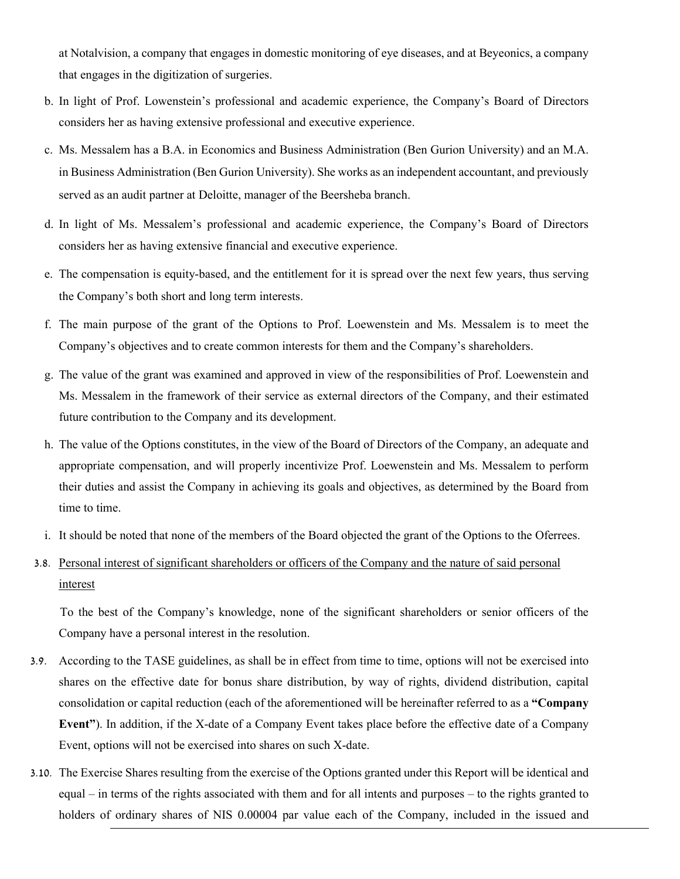at Notalvision, a company that engages in domestic monitoring of eye diseases, and at Beyeonics, a company that engages in the digitization of surgeries.

- b. In light of Prof. Lowenstein's professional and academic experience, the Company's Board of Directors considers her as having extensive professional and executive experience.
- c. Ms. Messalem has a B.A. in Economics and Business Administration (Ben Gurion University) and an M.A. in Business Administration (Ben Gurion University). She works as an independent accountant, and previously served as an audit partner at Deloitte, manager of the Beersheba branch.
- d. In light of Ms. Messalem's professional and academic experience, the Company's Board of Directors considers her as having extensive financial and executive experience.
- e. The compensation is equity-based, and the entitlement for it is spread over the next few years, thus serving the Company's both short and long term interests.
- f. The main purpose of the grant of the Options to Prof. Loewenstein and Ms. Messalem is to meet the Company's objectives and to create common interests for them and the Company's shareholders.
- g. The value of the grant was examined and approved in view of the responsibilities of Prof. Loewenstein and Ms. Messalem in the framework of their service as external directors of the Company, and their estimated future contribution to the Company and its development.
- h. The value of the Options constitutes, in the view of the Board of Directors of the Company, an adequate and appropriate compensation, and will properly incentivize Prof. Loewenstein and Ms. Messalem to perform their duties and assist the Company in achieving its goals and objectives, as determined by the Board from time to time.
- i. It should be noted that none of the members of the Board objected the grant of the Options to the Oferrees.
- 3.8. Personal interest of significant shareholders or officers of the Company and the nature of said personal interest

To the best of the Company's knowledge, none of the significant shareholders or senior officers of the Company have a personal interest in the resolution.

- 3.9. According to the TASE guidelines, as shall be in effect from time to time, options will not be exercised into shares on the effective date for bonus share distribution, by way of rights, dividend distribution, capital consolidation or capital reduction (each of the aforementioned will be hereinafter referred to as a **"Company Event"**). In addition, if the X-date of a Company Event takes place before the effective date of a Company Event, options will not be exercised into shares on such X-date.
- 3.10. The Exercise Shares resulting from the exercise of the Options granted under this Report will be identical and equal – in terms of the rights associated with them and for all intents and purposes – to the rights granted to holders of ordinary shares of NIS 0.00004 par value each of the Company, included in the issued and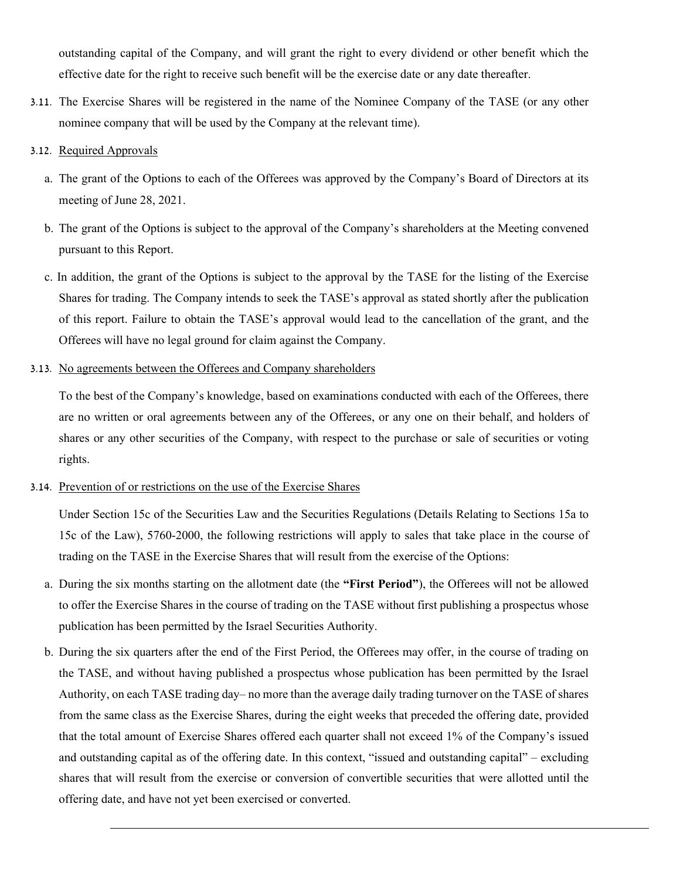outstanding capital of the Company, and will grant the right to every dividend or other benefit which the effective date for the right to receive such benefit will be the exercise date or any date thereafter.

- 3.11. The Exercise Shares will be registered in the name of the Nominee Company of the TASE (or any other nominee company that will be used by the Company at the relevant time).
- 3.12. Required Approvals
	- a. The grant of the Options to each of the Offerees was approved by the Company's Board of Directors at its meeting of June 28, 2021.
	- b. The grant of the Options is subject to the approval of the Company's shareholders at the Meeting convened pursuant to this Report.
	- c. In addition, the grant of the Options is subject to the approval by the TASE for the listing of the Exercise Shares for trading. The Company intends to seek the TASE's approval as stated shortly after the publication of this report. Failure to obtain the TASE's approval would lead to the cancellation of the grant, and the Offerees will have no legal ground for claim against the Company.
- 3.13. No agreements between the Offerees and Company shareholders

To the best of the Company's knowledge, based on examinations conducted with each of the Offerees, there are no written or oral agreements between any of the Offerees, or any one on their behalf, and holders of shares or any other securities of the Company, with respect to the purchase or sale of securities or voting rights.

#### 3.14. Prevention of or restrictions on the use of the Exercise Shares

Under Section 15c of the Securities Law and the Securities Regulations (Details Relating to Sections 15a to 15c of the Law), 5760-2000, the following restrictions will apply to sales that take place in the course of trading on the TASE in the Exercise Shares that will result from the exercise of the Options:

- a. During the six months starting on the allotment date (the **"First Period"**), the Offerees will not be allowed to offer the Exercise Shares in the course of trading on the TASE without first publishing a prospectus whose publication has been permitted by the Israel Securities Authority.
- b. During the six quarters after the end of the First Period, the Offerees may offer, in the course of trading on the TASE, and without having published a prospectus whose publication has been permitted by the Israel Authority, on each TASE trading day– no more than the average daily trading turnover on the TASE of shares from the same class as the Exercise Shares, during the eight weeks that preceded the offering date, provided that the total amount of Exercise Shares offered each quarter shall not exceed 1% of the Company's issued and outstanding capital as of the offering date. In this context, "issued and outstanding capital" – excluding shares that will result from the exercise or conversion of convertible securities that were allotted until the offering date, and have not yet been exercised or converted.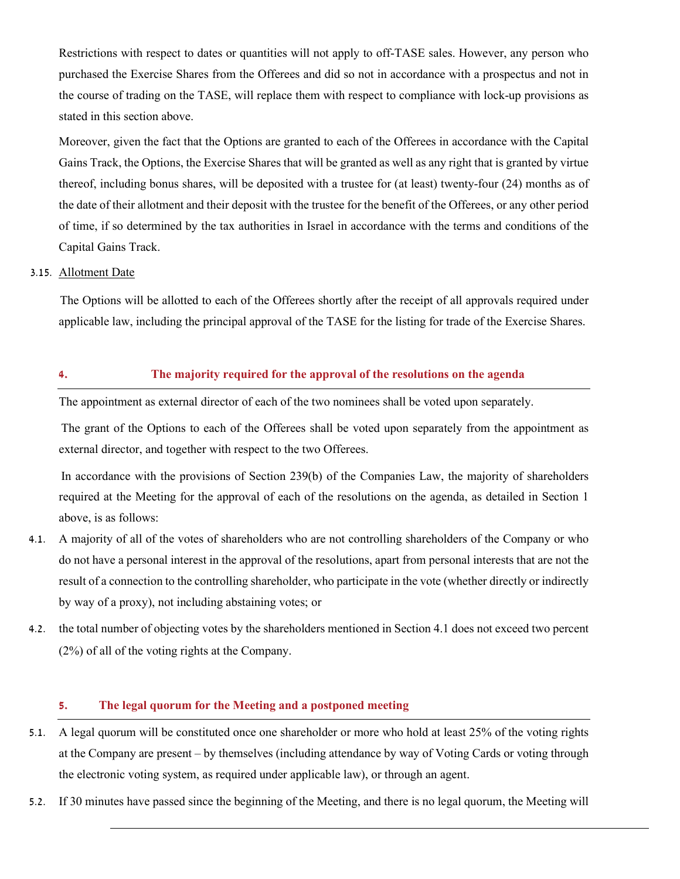Restrictions with respect to dates or quantities will not apply to off-TASE sales. However, any person who purchased the Exercise Shares from the Offerees and did so not in accordance with a prospectus and not in the course of trading on the TASE, will replace them with respect to compliance with lock-up provisions as stated in this section above.

Moreover, given the fact that the Options are granted to each of the Offerees in accordance with the Capital Gains Track, the Options, the Exercise Shares that will be granted as well as any right that is granted by virtue thereof, including bonus shares, will be deposited with a trustee for (at least) twenty-four (24) months as of the date of their allotment and their deposit with the trustee for the benefit of the Offerees, or any other period of time, if so determined by the tax authorities in Israel in accordance with the terms and conditions of the Capital Gains Track.

#### 3.15. Allotment Date

The Options will be allotted to each of the Offerees shortly after the receipt of all approvals required under applicable law, including the principal approval of the TASE for the listing for trade of the Exercise Shares.

#### **4. The majority required for the approval of the resolutions on the agenda**

The appointment as external director of each of the two nominees shall be voted upon separately.

The grant of the Options to each of the Offerees shall be voted upon separately from the appointment as external director, and together with respect to the two Offerees.

In accordance with the provisions of Section 239(b) of the Companies Law, the majority of shareholders required at the Meeting for the approval of each of the resolutions on the agenda, as detailed in Section 1 above, is as follows:

- 4.1. A majority of all of the votes of shareholders who are not controlling shareholders of the Company or who do not have a personal interest in the approval of the resolutions, apart from personal interests that are not the result of a connection to the controlling shareholder, who participate in the vote (whether directly or indirectly by way of a proxy), not including abstaining votes; or
- 4.2. the total number of objecting votes by the shareholders mentioned in Section 4.1 does not exceed two percent (2%) of all of the voting rights at the Company.

#### **5. The legal quorum for the Meeting and a postponed meeting**

- 5.1. A legal quorum will be constituted once one shareholder or more who hold at least 25% of the voting rights at the Company are present – by themselves (including attendance by way of Voting Cards or voting through the electronic voting system, as required under applicable law), or through an agent.
- 5.2. If 30 minutes have passed since the beginning of the Meeting, and there is no legal quorum, the Meeting will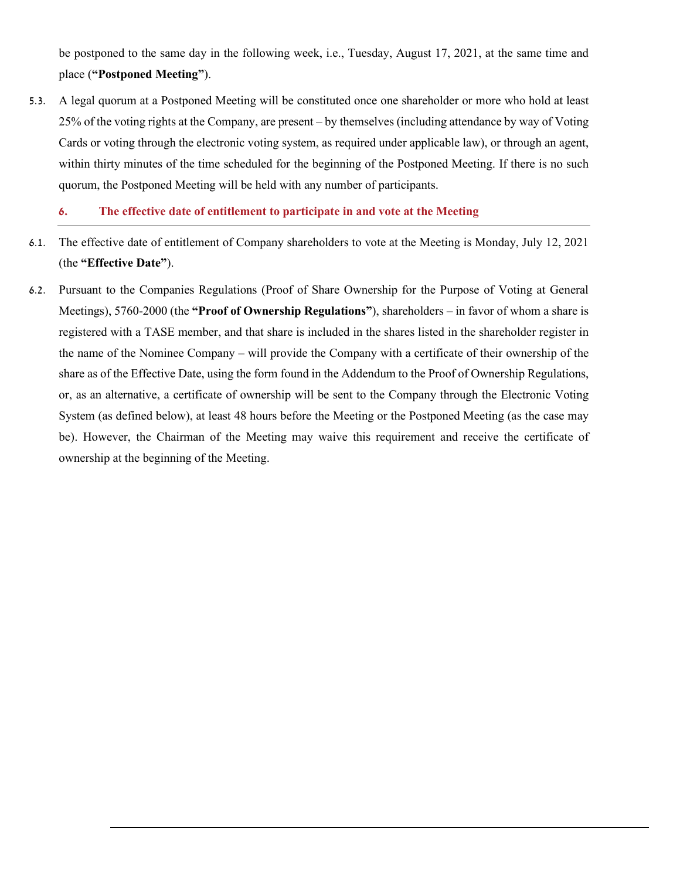be postponed to the same day in the following week, i.e., Tuesday, August 17, 2021, at the same time and place (**"Postponed Meeting"**).

5.3. A legal quorum at a Postponed Meeting will be constituted once one shareholder or more who hold at least 25% of the voting rights at the Company, are present – by themselves (including attendance by way of Voting Cards or voting through the electronic voting system, as required under applicable law), or through an agent, within thirty minutes of the time scheduled for the beginning of the Postponed Meeting. If there is no such quorum, the Postponed Meeting will be held with any number of participants.

#### **6. The effective date of entitlement to participate in and vote at the Meeting**

- 6.1. The effective date of entitlement of Company shareholders to vote at the Meeting is Monday, July 12, 2021 (the **"Effective Date"**).
- 6.2. Pursuant to the Companies Regulations (Proof of Share Ownership for the Purpose of Voting at General Meetings), 5760-2000 (the **"Proof of Ownership Regulations"**), shareholders – in favor of whom a share is registered with a TASE member, and that share is included in the shares listed in the shareholder register in the name of the Nominee Company – will provide the Company with a certificate of their ownership of the share as of the Effective Date, using the form found in the Addendum to the Proof of Ownership Regulations, or, as an alternative, a certificate of ownership will be sent to the Company through the Electronic Voting System (as defined below), at least 48 hours before the Meeting or the Postponed Meeting (as the case may be). However, the Chairman of the Meeting may waive this requirement and receive the certificate of ownership at the beginning of the Meeting.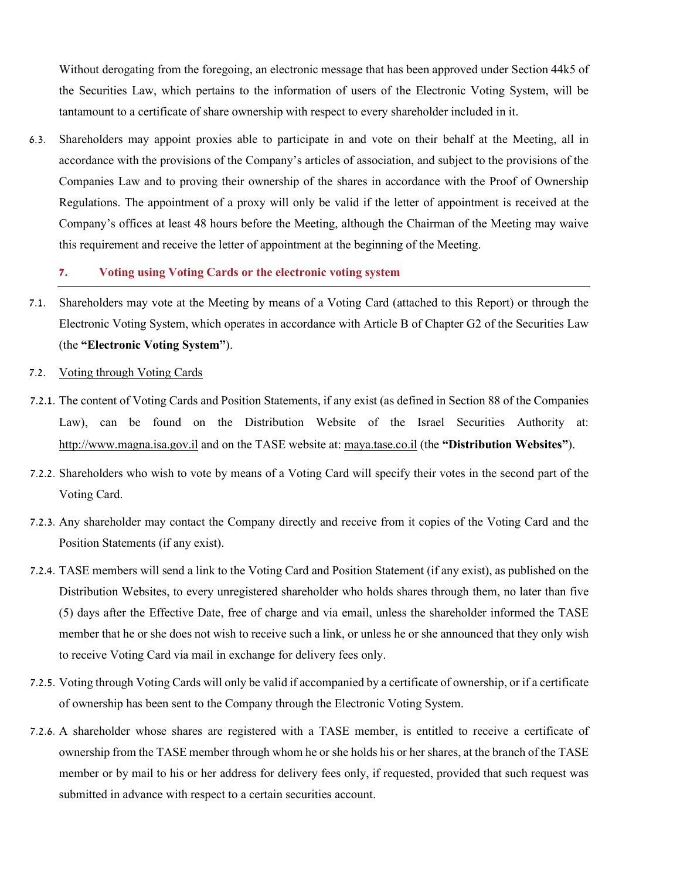Without derogating from the foregoing, an electronic message that has been approved under Section 44k5 of the Securities Law, which pertains to the information of users of the Electronic Voting System, will be tantamount to a certificate of share ownership with respect to every shareholder included in it.

6.3. Shareholders may appoint proxies able to participate in and vote on their behalf at the Meeting, all in accordance with the provisions of the Company's articles of association, and subject to the provisions of the Companies Law and to proving their ownership of the shares in accordance with the Proof of Ownership Regulations. The appointment of a proxy will only be valid if the letter of appointment is received at the Company's offices at least 48 hours before the Meeting, although the Chairman of the Meeting may waive this requirement and receive the letter of appointment at the beginning of the Meeting.

#### **7. Voting using Voting Cards or the electronic voting system**

- 7.1. Shareholders may vote at the Meeting by means of a Voting Card (attached to this Report) or through the Electronic Voting System, which operates in accordance with Article B of Chapter G2 of the Securities Law (the **"Electronic Voting System"**).
- 7.2. Voting through Voting Cards
- 7.2.1. The content of Voting Cards and Position Statements, if any exist (as defined in Section 88 of the Companies Law), can be found on the Distribution Website of the Israel Securities Authority at: http://www.magna.isa.gov.il and on the TASE website at: maya.tase.co.il (the **"Distribution Websites"**).
- 7.2.2. Shareholders who wish to vote by means of a Voting Card will specify their votes in the second part of the Voting Card.
- 7.2.3. Any shareholder may contact the Company directly and receive from it copies of the Voting Card and the Position Statements (if any exist).
- 7.2.4. TASE members will send a link to the Voting Card and Position Statement (if any exist), as published on the Distribution Websites, to every unregistered shareholder who holds shares through them, no later than five (5) days after the Effective Date, free of charge and via email, unless the shareholder informed the TASE member that he or she does not wish to receive such a link, or unless he or she announced that they only wish to receive Voting Card via mail in exchange for delivery fees only.
- 7.2.5. Voting through Voting Cards will only be valid if accompanied by a certificate of ownership, or if a certificate of ownership has been sent to the Company through the Electronic Voting System.
- 7.2.6. A shareholder whose shares are registered with a TASE member, is entitled to receive a certificate of ownership from the TASE member through whom he or she holds his or her shares, at the branch of the TASE member or by mail to his or her address for delivery fees only, if requested, provided that such request was submitted in advance with respect to a certain securities account.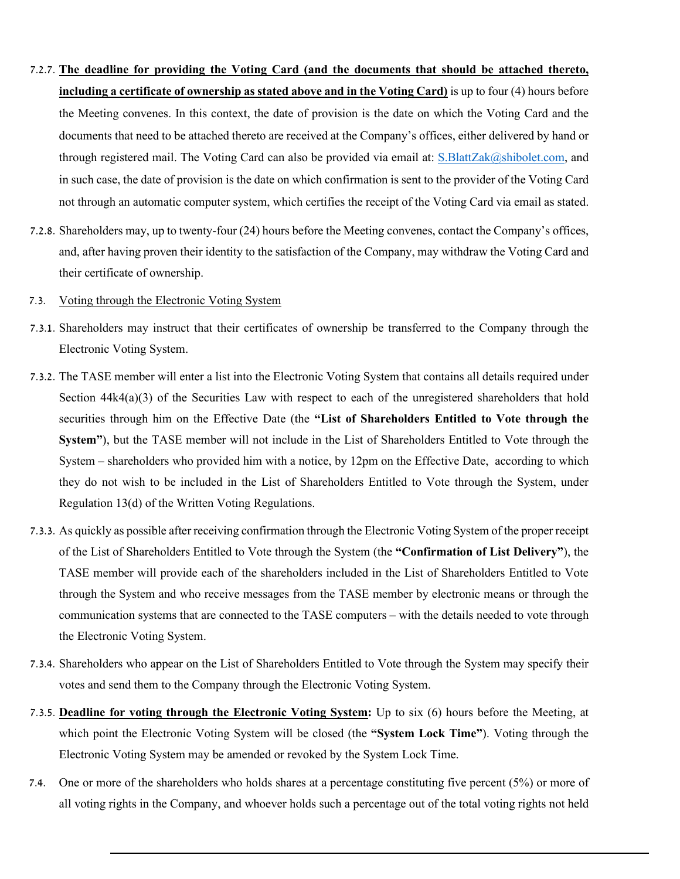- 7.2.7. **The deadline for providing the Voting Card (and the documents that should be attached thereto, including a certificate of ownership as stated above and in the Voting Card)** is up to four (4) hours before the Meeting convenes. In this context, the date of provision is the date on which the Voting Card and the documents that need to be attached thereto are received at the Company's offices, either delivered by hand or through registered mail. The Voting Card can also be provided via email at: [S.BlattZak@shibolet.com,](mailto:S.BlattZak@shibolet.com) and in such case, the date of provision is the date on which confirmation is sent to the provider of the Voting Card not through an automatic computer system, which certifies the receipt of the Voting Card via email as stated.
- 7.2.8. Shareholders may, up to twenty-four (24) hours before the Meeting convenes, contact the Company's offices, and, after having proven their identity to the satisfaction of the Company, may withdraw the Voting Card and their certificate of ownership.
- 7.3. Voting through the Electronic Voting System
- 7.3.1. Shareholders may instruct that their certificates of ownership be transferred to the Company through the Electronic Voting System.
- 7.3.2. The TASE member will enter a list into the Electronic Voting System that contains all details required under Section  $44k4(a)(3)$  of the Securities Law with respect to each of the unregistered shareholders that hold securities through him on the Effective Date (the **"List of Shareholders Entitled to Vote through the System"**), but the TASE member will not include in the List of Shareholders Entitled to Vote through the System – shareholders who provided him with a notice, by 12pm on the Effective Date, according to which they do not wish to be included in the List of Shareholders Entitled to Vote through the System, under Regulation 13(d) of the Written Voting Regulations.
- 7.3.3. As quickly as possible after receiving confirmation through the Electronic Voting System of the proper receipt of the List of Shareholders Entitled to Vote through the System (the **"Confirmation of List Delivery"**), the TASE member will provide each of the shareholders included in the List of Shareholders Entitled to Vote through the System and who receive messages from the TASE member by electronic means or through the communication systems that are connected to the TASE computers – with the details needed to vote through the Electronic Voting System.
- 7.3.4. Shareholders who appear on the List of Shareholders Entitled to Vote through the System may specify their votes and send them to the Company through the Electronic Voting System.
- 7.3.5. **Deadline for voting through the Electronic Voting System:** Up to six (6) hours before the Meeting, at which point the Electronic Voting System will be closed (the **"System Lock Time"**). Voting through the Electronic Voting System may be amended or revoked by the System Lock Time.
- 7.4. One or more of the shareholders who holds shares at a percentage constituting five percent (5%) or more of all voting rights in the Company, and whoever holds such a percentage out of the total voting rights not held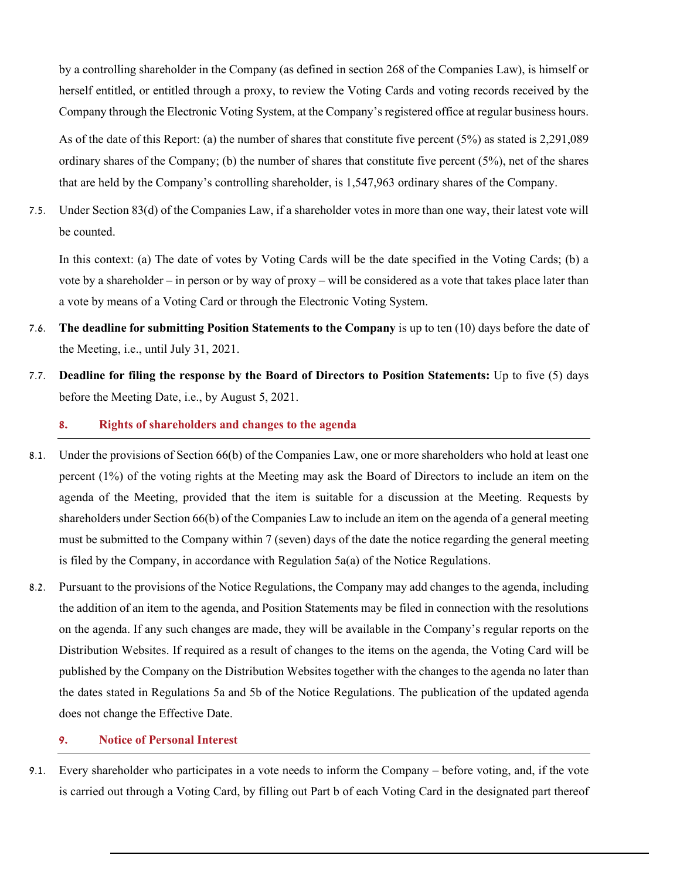by a controlling shareholder in the Company (as defined in section 268 of the Companies Law), is himself or herself entitled, or entitled through a proxy, to review the Voting Cards and voting records received by the Company through the Electronic Voting System, at the Company's registered office at regular business hours.

As of the date of this Report: (a) the number of shares that constitute five percent (5%) as stated is 2,291,089 ordinary shares of the Company; (b) the number of shares that constitute five percent (5%), net of the shares that are held by the Company's controlling shareholder, is 1,547,963 ordinary shares of the Company.

7.5. Under Section 83(d) of the Companies Law, if a shareholder votes in more than one way, their latest vote will be counted.

In this context: (a) The date of votes by Voting Cards will be the date specified in the Voting Cards; (b) a vote by a shareholder – in person or by way of proxy – will be considered as a vote that takes place later than a vote by means of a Voting Card or through the Electronic Voting System.

- 7.6. **The deadline for submitting Position Statements to the Company** is up to ten (10) days before the date of the Meeting, i.e., until July 31, 2021.
- 7.7. **Deadline for filing the response by the Board of Directors to Position Statements:** Up to five (5) days before the Meeting Date, i.e., by August 5, 2021.

#### **8. Rights of shareholders and changes to the agenda**

- 8.1. Under the provisions of Section 66(b) of the Companies Law, one or more shareholders who hold at least one percent (1%) of the voting rights at the Meeting may ask the Board of Directors to include an item on the agenda of the Meeting, provided that the item is suitable for a discussion at the Meeting. Requests by shareholders under Section 66(b) of the Companies Law to include an item on the agenda of a general meeting must be submitted to the Company within 7 (seven) days of the date the notice regarding the general meeting is filed by the Company, in accordance with Regulation 5a(a) of the Notice Regulations.
- 8.2. Pursuant to the provisions of the Notice Regulations, the Company may add changes to the agenda, including the addition of an item to the agenda, and Position Statements may be filed in connection with the resolutions on the agenda. If any such changes are made, they will be available in the Company's regular reports on the Distribution Websites. If required as a result of changes to the items on the agenda, the Voting Card will be published by the Company on the Distribution Websites together with the changes to the agenda no later than the dates stated in Regulations 5a and 5b of the Notice Regulations. The publication of the updated agenda does not change the Effective Date.

#### **9. Notice of Personal Interest**

9.1. Every shareholder who participates in a vote needs to inform the Company – before voting, and, if the vote is carried out through a Voting Card, by filling out Part b of each Voting Card in the designated part thereof